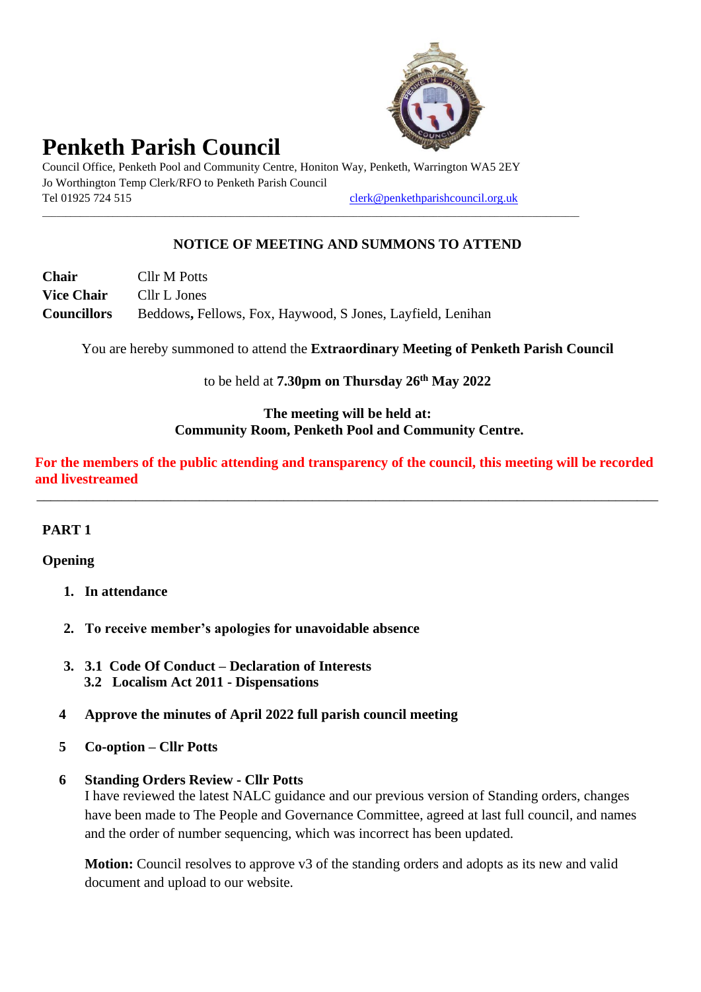

# **Penketh Parish Council**

Council Office, Penketh Pool and Community Centre, Honiton Way, Penketh, Warrington WA5 2EY Jo Worthington Temp Clerk/RFO to Penketh Parish Council Tel 01925 724 515 [clerk@penkethparishcouncil.org.uk](mailto:clerk@penkethparishcouncil.org.uk)

\_\_\_\_\_\_\_\_\_\_\_\_\_\_\_\_\_\_\_\_\_\_\_\_\_\_\_\_\_\_\_\_\_\_\_\_\_\_\_\_\_\_\_\_\_\_\_\_\_\_\_\_\_\_\_\_\_\_\_\_\_\_\_\_\_\_\_\_\_\_\_\_\_\_\_\_\_\_\_\_\_\_\_\_\_\_\_\_\_\_\_\_\_\_\_\_\_\_\_\_\_\_\_\_\_\_\_\_\_\_\_\_\_\_

## **NOTICE OF MEETING AND SUMMONS TO ATTEND**

| Chair              | Cllr M Potts                                               |
|--------------------|------------------------------------------------------------|
| <b>Vice Chair</b>  | Cllr L Jones                                               |
| <b>Councillors</b> | Beddows, Fellows, Fox, Haywood, S Jones, Layfield, Lenihan |

You are hereby summoned to attend the **Extraordinary Meeting of Penketh Parish Council**

to be held at **7.30pm on Thursday 26th May 2022**

#### **The meeting will be held at: Community Room, Penketh Pool and Community Centre.**

**For the members of the public attending and transparency of the council, this meeting will be recorded and livestreamed**

\_\_\_\_\_\_\_\_\_\_\_\_\_\_\_\_\_\_\_\_\_\_\_\_\_\_\_\_\_\_\_\_\_\_\_\_\_\_\_\_\_\_\_\_\_\_\_\_\_\_\_\_\_\_\_\_\_\_\_\_\_\_\_\_\_\_\_\_\_\_\_\_\_\_\_\_\_\_\_\_\_\_\_\_\_\_\_\_

### **PART 1**

#### **Opening**

- **1. In attendance**
- **2. To receive member's apologies for unavoidable absence**
- **3. 3.1 Code Of Conduct – Declaration of Interests 3.2 Localism Act 2011 - Dispensations**
- **4 Approve the minutes of April 2022 full parish council meeting**
- **5 Co-option – Cllr Potts**

#### **6 Standing Orders Review - Cllr Potts**

I have reviewed the latest NALC guidance and our previous version of Standing orders, changes have been made to The People and Governance Committee, agreed at last full council, and names and the order of number sequencing, which was incorrect has been updated.

**Motion:** Council resolves to approve v3 of the standing orders and adopts as its new and valid document and upload to our website.